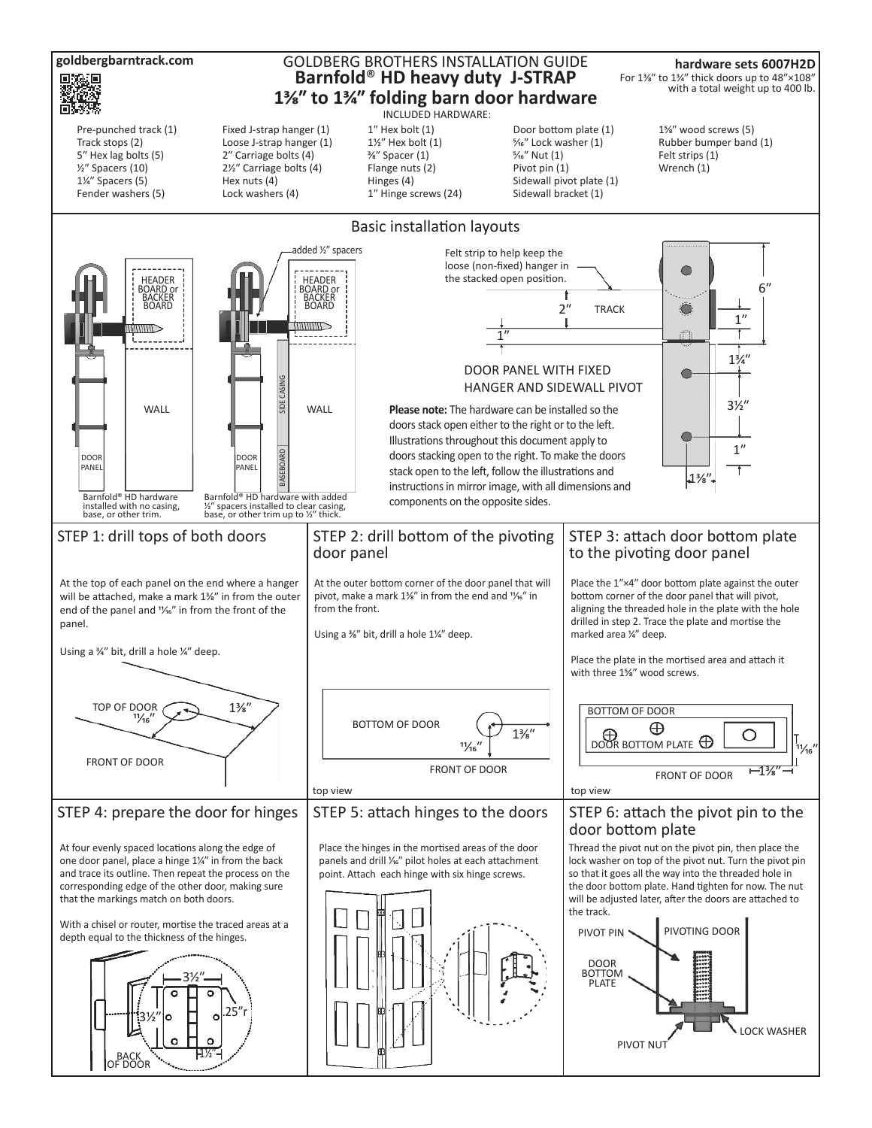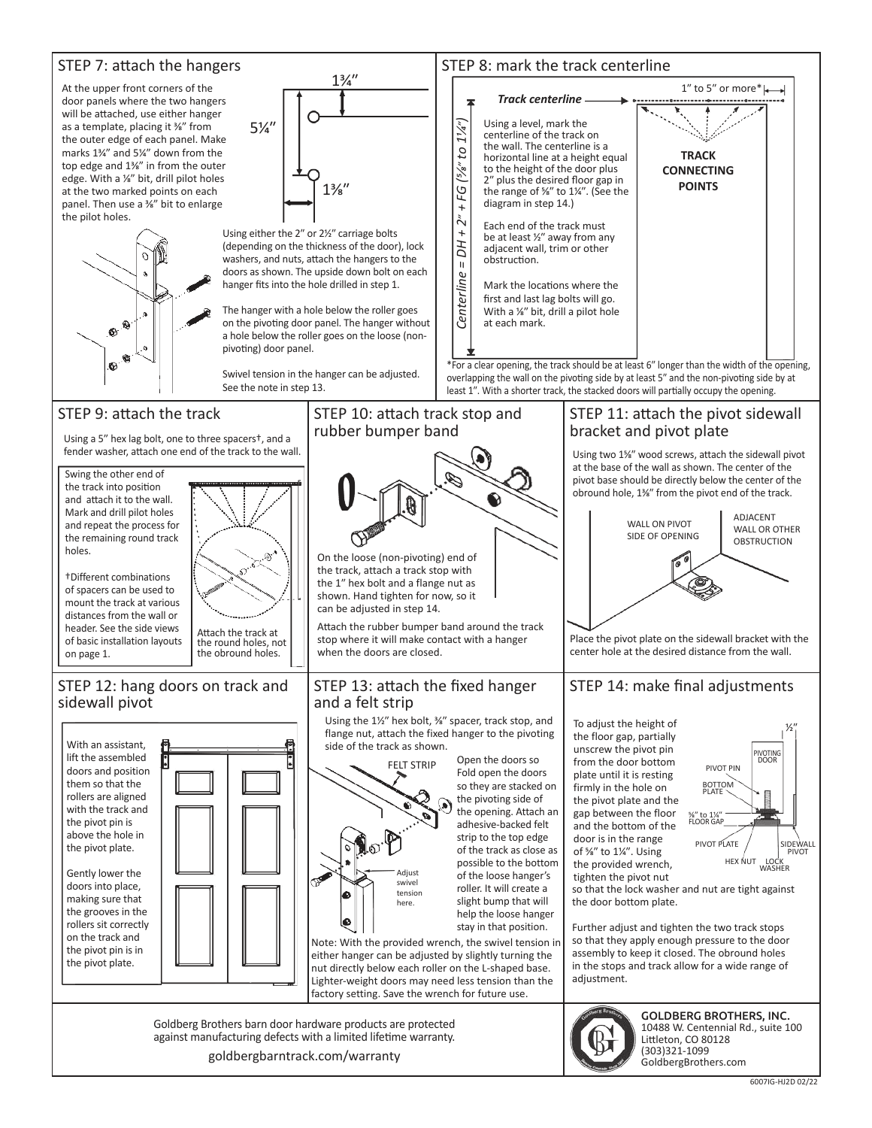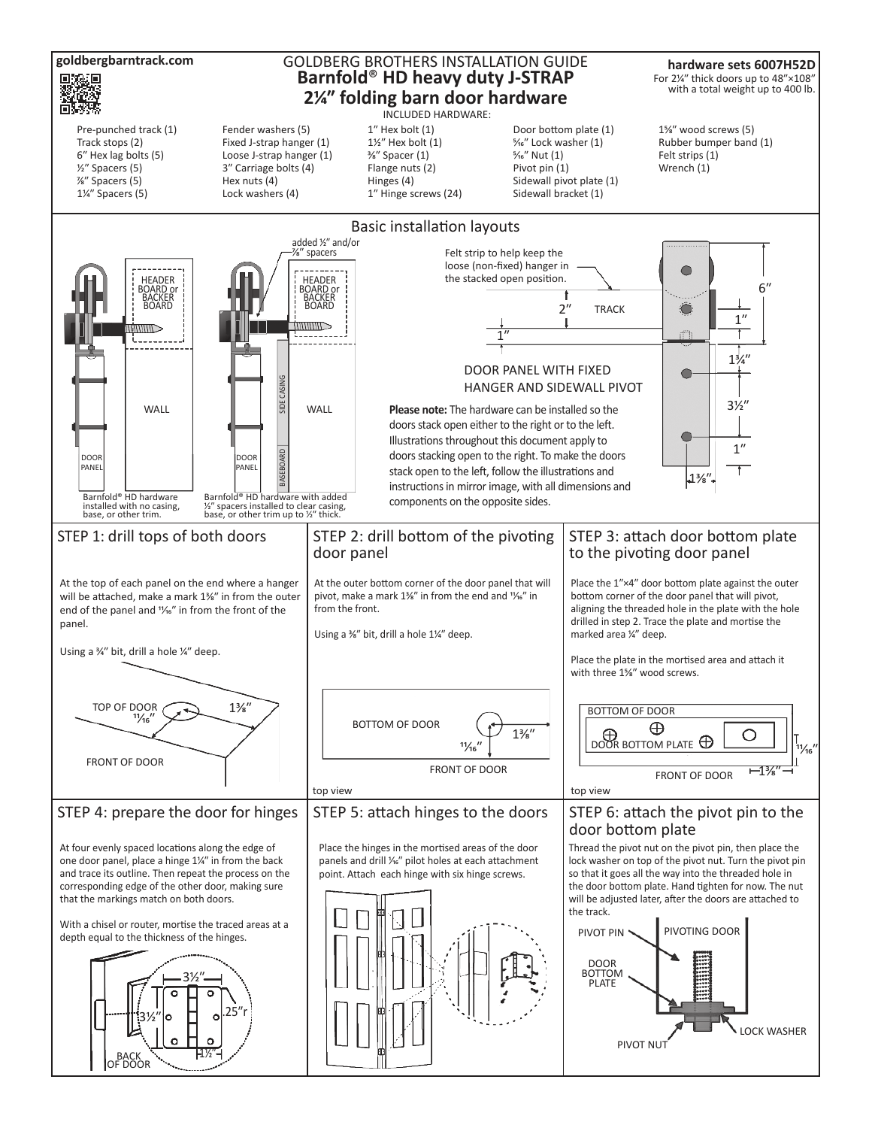